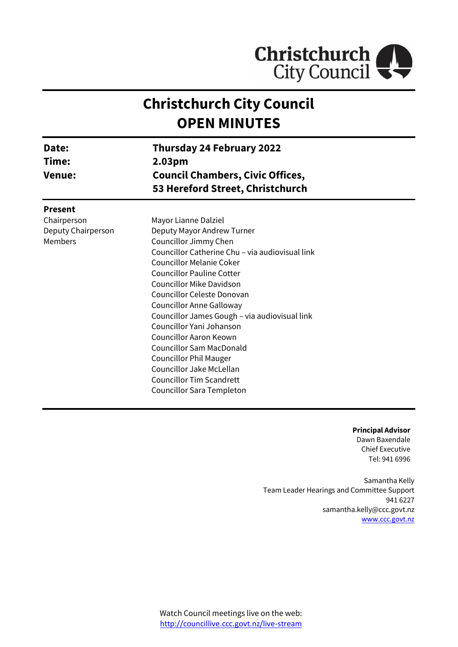

# **Christchurch City Council OPEN MINUTES**

| Date:              | <b>Thursday 24 February 2022</b>                                                      |  |  |  |
|--------------------|---------------------------------------------------------------------------------------|--|--|--|
| Time:              | 2.03pm<br><b>Council Chambers, Civic Offices,</b><br>53 Hereford Street, Christchurch |  |  |  |
| <b>Venue:</b>      |                                                                                       |  |  |  |
|                    |                                                                                       |  |  |  |
| Chairperson        | Mayor Lianne Dalziel                                                                  |  |  |  |
| Deputy Chairperson | Deputy Mayor Andrew Turner                                                            |  |  |  |
| Members            | Councillor Jimmy Chen                                                                 |  |  |  |
|                    | Councillor Catherine Chu - via audiovisual link                                       |  |  |  |
|                    | <b>Councillor Melanie Coker</b>                                                       |  |  |  |
|                    | <b>Councillor Pauline Cotter</b>                                                      |  |  |  |
|                    | <b>Councillor Mike Davidson</b>                                                       |  |  |  |
|                    | Councillor Celeste Donovan                                                            |  |  |  |
|                    | <b>Councillor Anne Galloway</b>                                                       |  |  |  |
|                    | Councillor James Gough - via audiovisual link                                         |  |  |  |
|                    | Councillor Yani Johanson                                                              |  |  |  |
|                    | Councillor Aaron Keown                                                                |  |  |  |
|                    | <b>Councillor Sam MacDonald</b>                                                       |  |  |  |
|                    | <b>Councillor Phil Mauger</b>                                                         |  |  |  |
|                    | Councillor Jake McLellan                                                              |  |  |  |
|                    | <b>Councillor Tim Scandrett</b>                                                       |  |  |  |
|                    | <b>Councillor Sara Templeton</b>                                                      |  |  |  |

**Principal Advisor** Dawn Baxendale Chief Executive Tel: 941 6996

Samantha Kelly Team Leader Hearings and Committee Support 941 6227 samantha.kelly@ccc.govt.nz [www.ccc.govt.nz](http://www.ccc.govt.nz/)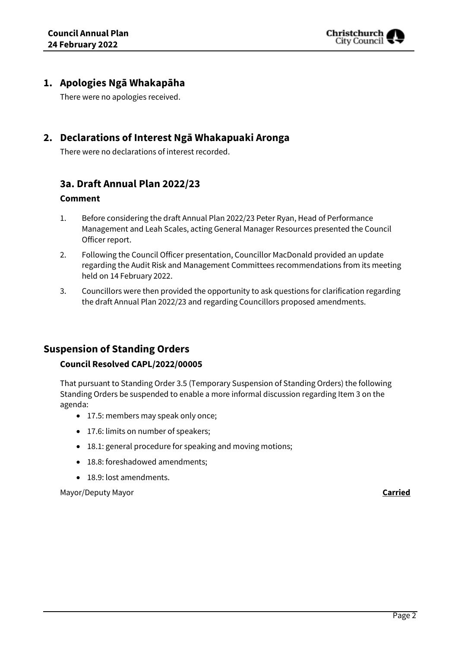

# **1. Apologies Ngā Whakapāha**

There were no apologies received.

# **2. Declarations of Interest Ngā Whakapuaki Aronga**

There were no declarations of interest recorded.

# **3a. Draft Annual Plan 2022/23**

### **Comment**

- 1. Before considering the draft Annual Plan 2022/23 Peter Ryan, Head of Performance Management and Leah Scales, acting General Manager Resources presented the Council Officer report.
- 2. Following the Council Officer presentation, Councillor MacDonald provided an update regarding the Audit Risk and Management Committees recommendations from its meeting held on 14 February 2022.
- 3. Councillors were then provided the opportunity to ask questions for clarification regarding the draft Annual Plan 2022/23 and regarding Councillors proposed amendments.

# **Suspension of Standing Orders**

### **Council Resolved CAPL/2022/00005**

That pursuant to Standing Order 3.5 (Temporary Suspension of Standing Orders) the following Standing Orders be suspended to enable a more informal discussion regarding Item 3 on the agenda:

- 17.5: members may speak only once;
- 17.6: limits on number of speakers;
- 18.1: general procedure for speaking and moving motions;
- 18.8: foreshadowed amendments;
- 18.9: lost amendments.

Mayor/Deputy Mayor **Carried**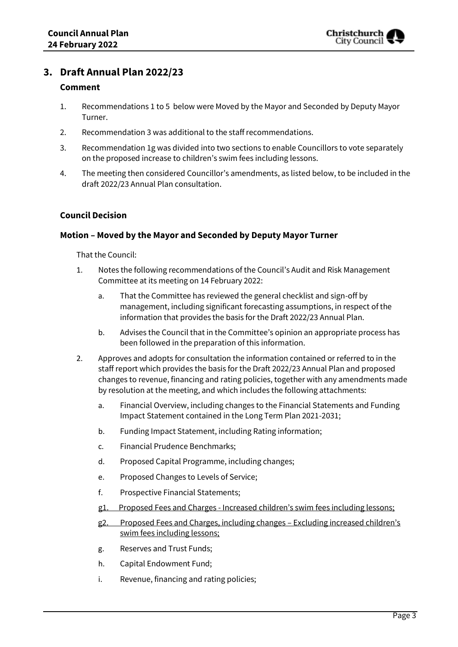# **3. Draft Annual Plan 2022/23**

### **Comment**

- 1. Recommendations 1 to 5 below were Moved by the Mayor and Seconded by Deputy Mayor Turner.
- 2. Recommendation 3 was additional to the staff recommendations.
- 3. Recommendation 1g was divided into two sections to enable Councillors to vote separately on the proposed increase to children's swim fees including lessons.
- 4. The meeting then considered Councillor's amendments, as listed below, to be included in the draft 2022/23 Annual Plan consultation.

### **Council Decision**

### **Motion – Moved by the Mayor and Seconded by Deputy Mayor Turner**

- 1. Notes the following recommendations of the Council's Audit and Risk Management Committee at its meeting on 14 February 2022:
	- a. That the Committee has reviewed the general checklist and sign-off by management, including significant forecasting assumptions, in respect of the information that provides the basis for the Draft 2022/23 Annual Plan.
	- b. Advises the Council that in the Committee's opinion an appropriate process has been followed in the preparation of this information.
- 2. Approves and adopts for consultation the information contained or referred to in the staff report which provides the basis for the Draft 2022/23 Annual Plan and proposed changes to revenue, financing and rating policies, together with any amendments made by resolution at the meeting, and which includes the following attachments:
	- a. Financial Overview, including changes to the Financial Statements and Funding Impact Statement contained in the Long Term Plan 2021-2031;
	- b. Funding Impact Statement, including Rating information;
	- c. Financial Prudence Benchmarks;
	- d. Proposed Capital Programme, including changes;
	- e. Proposed Changes to Levels of Service;
	- f. Prospective Financial Statements;
	- g1. Proposed Fees and Charges Increased children's swim fees including lessons;
	- g2. Proposed Fees and Charges, including changes Excluding increased children's swim fees including lessons;
	- g. Reserves and Trust Funds;
	- h. Capital Endowment Fund;
	- i. Revenue, financing and rating policies;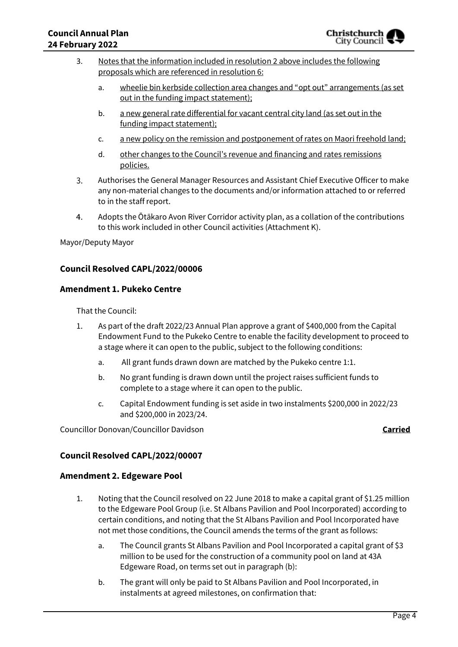- 3. Notes that the information included in resolution 2 above includes the following proposals which are referenced in resolution 6:
	- a. wheelie bin kerbside collection area changes and "opt out" arrangements (as set out in the funding impact statement);
	- b. a new general rate differential for vacant central city land (as set out in the funding impact statement);
	- c. a new policy on the remission and postponement of rates on Maori freehold land;
	- d. other changes to the Council's revenue and financing and rates remissions policies.
- 3. Authorises the General Manager Resources and Assistant Chief Executive Officer to make any non-material changes to the documents and/or information attached to or referred to in the staff report.
- $4.$ Adopts the Ōtākaro Avon River Corridor activity plan, as a collation of the contributions to this work included in other Council activities (Attachment K).

Mayor/Deputy Mayor

### **Council Resolved CAPL/2022/00006**

### **Amendment 1. Pukeko Centre**

That the Council:

- 1. As part of the draft 2022/23 Annual Plan approve a grant of \$400,000 from the Capital Endowment Fund to the Pukeko Centre to enable the facility development to proceed to a stage where it can open to the public, subject to the following conditions:
	- a. All grant funds drawn down are matched by the Pukeko centre 1:1.
	- b. No grant funding is drawn down until the project raises sufficient funds to complete to a stage where it can open to the public.
	- c. Capital Endowment funding is set aside in two instalments \$200,000 in 2022/23 and \$200,000 in 2023/24.

Councillor Donovan/Councillor Davidson **Carried**

### **Council Resolved CAPL/2022/00007**

### **Amendment 2. Edgeware Pool**

- 1. Noting that the Council resolved on 22 June 2018 to make a capital grant of \$1.25 million to the Edgeware Pool Group (i.e. St Albans Pavilion and Pool Incorporated) according to certain conditions, and noting that the St Albans Pavilion and Pool Incorporated have not met those conditions, the Council amends the terms of the grant as follows:
	- a. The Council grants St Albans Pavilion and Pool Incorporated a capital grant of \$3 million to be used for the construction of a community pool on land at 43A Edgeware Road, on terms set out in paragraph (b):
	- b. The grant will only be paid to St Albans Pavilion and Pool Incorporated, in instalments at agreed milestones, on confirmation that: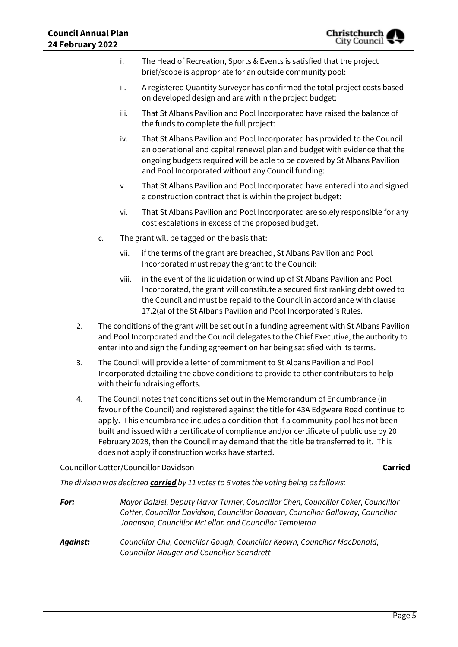|    |                                                                                                                                                                                                                                                                            | i.    | The Head of Recreation, Sports & Events is satisfied that the project<br>brief/scope is appropriate for an outside community pool:                                                                                                                                                                                                                                                                                                                   |
|----|----------------------------------------------------------------------------------------------------------------------------------------------------------------------------------------------------------------------------------------------------------------------------|-------|------------------------------------------------------------------------------------------------------------------------------------------------------------------------------------------------------------------------------------------------------------------------------------------------------------------------------------------------------------------------------------------------------------------------------------------------------|
|    |                                                                                                                                                                                                                                                                            | ii.   | A registered Quantity Surveyor has confirmed the total project costs based<br>on developed design and are within the project budget:                                                                                                                                                                                                                                                                                                                 |
|    |                                                                                                                                                                                                                                                                            | iii.  | That St Albans Pavilion and Pool Incorporated have raised the balance of<br>the funds to complete the full project:                                                                                                                                                                                                                                                                                                                                  |
|    |                                                                                                                                                                                                                                                                            | iv.   | That St Albans Pavilion and Pool Incorporated has provided to the Council<br>an operational and capital renewal plan and budget with evidence that the<br>ongoing budgets required will be able to be covered by St Albans Pavilion<br>and Pool Incorporated without any Council funding:                                                                                                                                                            |
|    |                                                                                                                                                                                                                                                                            | ٧.    | That St Albans Pavilion and Pool Incorporated have entered into and signed<br>a construction contract that is within the project budget:                                                                                                                                                                                                                                                                                                             |
|    |                                                                                                                                                                                                                                                                            | vi.   | That St Albans Pavilion and Pool Incorporated are solely responsible for any<br>cost escalations in excess of the proposed budget.                                                                                                                                                                                                                                                                                                                   |
|    | c.                                                                                                                                                                                                                                                                         |       | The grant will be tagged on the basis that:                                                                                                                                                                                                                                                                                                                                                                                                          |
|    |                                                                                                                                                                                                                                                                            | vii.  | if the terms of the grant are breached, St Albans Pavilion and Pool<br>Incorporated must repay the grant to the Council:                                                                                                                                                                                                                                                                                                                             |
|    |                                                                                                                                                                                                                                                                            | viii. | in the event of the liquidation or wind up of St Albans Pavilion and Pool<br>Incorporated, the grant will constitute a secured first ranking debt owed to<br>the Council and must be repaid to the Council in accordance with clause<br>17.2(a) of the St Albans Pavilion and Pool Incorporated's Rules.                                                                                                                                             |
| 2. | The conditions of the grant will be set out in a funding agreement with St Albans Pavilion<br>and Pool Incorporated and the Council delegates to the Chief Executive, the authority to<br>enter into and sign the funding agreement on her being satisfied with its terms. |       |                                                                                                                                                                                                                                                                                                                                                                                                                                                      |
| 3. | The Council will provide a letter of commitment to St Albans Pavilion and Pool<br>Incorporated detailing the above conditions to provide to other contributors to help<br>with their fundraising efforts.                                                                  |       |                                                                                                                                                                                                                                                                                                                                                                                                                                                      |
| 4. |                                                                                                                                                                                                                                                                            |       | The Council notes that conditions set out in the Memorandum of Encumbrance (in<br>favour of the Council) and registered against the title for 43A Edgware Road continue to<br>apply. This encumbrance includes a condition that if a community pool has not been<br>built and issued with a certificate of compliance and/or certificate of public use by 20<br>February 2028, then the Council may demand that the title be transferred to it. This |

# Councillor Cotter/Councillor Davidson **Carried**

*The division was declared carried by 11 votes to 6 votes the voting being as follows:*

does not apply if construction works have started.

| For:     | Mayor Dalziel, Deputy Mayor Turner, Councillor Chen, Councillor Coker, Councillor<br>Cotter, Councillor Davidson, Councillor Donovan, Councillor Galloway, Councillor<br>Johanson, Councillor McLellan and Councillor Templeton |
|----------|---------------------------------------------------------------------------------------------------------------------------------------------------------------------------------------------------------------------------------|
| Against: | Councillor Chu, Councillor Gough, Councillor Keown, Councillor MacDonald,<br><b>Councillor Mauger and Councillor Scandrett</b>                                                                                                  |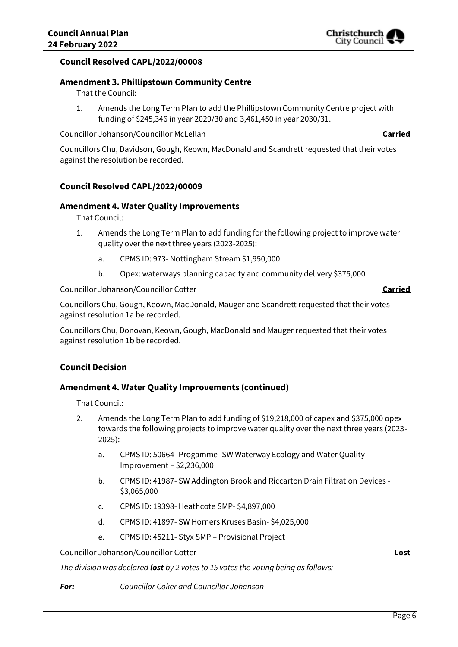### **Council Resolved CAPL/2022/00008**

# **Amendment 3. Phillipstown Community Centre**

That the Council:

1. Amends the Long Term Plan to add the Phillipstown Community Centre project with funding of \$245,346 in year 2029/30 and 3,461,450 in year 2030/31.

Councillor Johanson/Councillor McLellan **Carried**

Councillors Chu, Davidson, Gough, Keown, MacDonald and Scandrett requested that their votes against the resolution be recorded.

# **Council Resolved CAPL/2022/00009**

# **Amendment 4. Water Quality Improvements**

That Council:

- 1. Amends the Long Term Plan to add funding for the following project to improve water quality over the next three years (2023-2025):
	- a. CPMS ID: 973- Nottingham Stream \$1,950,000
	- b. Opex: waterways planning capacity and community delivery \$375,000

Councillor Johanson/Councillor Cotter **Carried**

Councillors Chu, Gough, Keown, MacDonald, Mauger and Scandrett requested that their votes against resolution 1a be recorded.

Councillors Chu, Donovan, Keown, Gough, MacDonald and Mauger requested that their votes against resolution 1b be recorded.

### **Council Decision**

### **Amendment 4. Water Quality Improvements (continued)**

That Council:

- 2. Amends the Long Term Plan to add funding of \$19,218,000 of capex and \$375,000 opex towards the following projects to improve water quality over the next three years (2023- 2025):
	- a. CPMS ID: 50664- Progamme- SW Waterway Ecology and Water Quality Improvement – \$2,236,000
	- b. CPMS ID: 41987- SW Addington Brook and Riccarton Drain Filtration Devices \$3,065,000
	- c. CPMS ID: 19398- Heathcote SMP- \$4,897,000
	- d. CPMS ID: 41897- SW Horners Kruses Basin- \$4,025,000
	- e. CPMS ID: 45211- Styx SMP Provisional Project

Councillor Johanson/Councillor Cotter **Lost**

*The division was declared lost by 2 votes to 15 votes the voting being as follows:*

*For: Councillor Coker and Councillor Johanson*

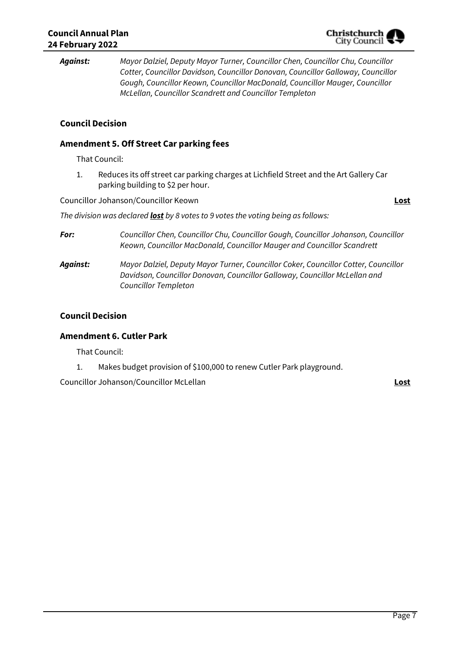*Against: Mayor Dalziel, Deputy Mayor Turner, Councillor Chen, Councillor Chu, Councillor Cotter, Councillor Davidson, Councillor Donovan, Councillor Galloway, Councillor Gough, Councillor Keown, Councillor MacDonald, Councillor Mauger, Councillor McLellan, Councillor Scandrett and Councillor Templeton*

# **Council Decision**

### **Amendment 5. Off Street Car parking fees**

That Council:

1. Reduces its off street car parking charges at Lichfield Street and the Art Gallery Car parking building to \$2 per hour.

Councillor Johanson/Councillor Keown **Lost**

*The division was declared lost by 8 votes to 9 votes the voting being as follows:*

*For: Councillor Chen, Councillor Chu, Councillor Gough, Councillor Johanson, Councillor Keown, Councillor MacDonald, Councillor Mauger and Councillor Scandrett*

*Against: Mayor Dalziel, Deputy Mayor Turner, Councillor Coker, Councillor Cotter, Councillor Davidson, Councillor Donovan, Councillor Galloway, Councillor McLellan and Councillor Templeton*

### **Council Decision**

### **Amendment 6. Cutler Park**

That Council:

1. Makes budget provision of \$100,000 to renew Cutler Park playground.

Councillor Johanson/Councillor McLellan **Lost**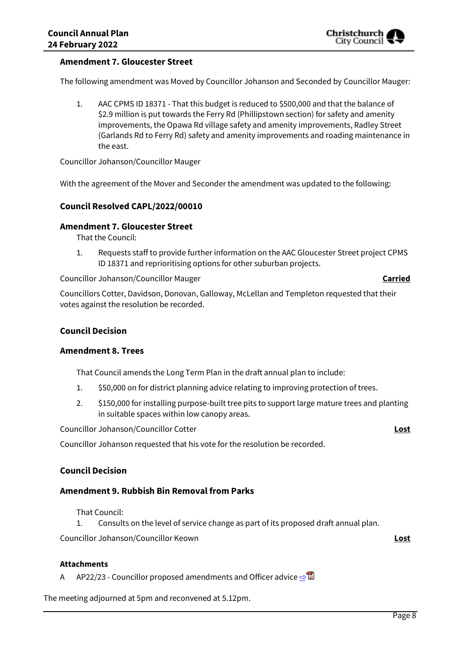### **Amendment 7. Gloucester Street**

The following amendment was Moved by Councillor Johanson and Seconded by Councillor Mauger:

1. AAC CPMS ID 18371 - That this budget is reduced to \$500,000 and that the balance of \$2.9 million is put towards the Ferry Rd (Phillipstown section) for safety and amenity improvements, the Opawa Rd village safety and amenity improvements, Radley Street (Garlands Rd to Ferry Rd) safety and amenity improvements and roading maintenance in the east.

Councillor Johanson/Councillor Mauger

With the agreement of the Mover and Seconder the amendment was updated to the following:

### **Council Resolved CAPL/2022/00010**

### **Amendment 7. Gloucester Street**

That the Council:

1. Requests staff to provide further information on the AAC Gloucester Street project CPMS ID 18371 and reprioritising options for other suburban projects.

Councillor Johanson/Councillor Mauger **Carried**

Councillors Cotter, Davidson, Donovan, Galloway, McLellan and Templeton requested that their votes against the resolution be recorded.

### **Council Decision**

### **Amendment 8. Trees**

That Council amends the Long Term Plan in the draft annual plan to include:

- 1. \$50,000 on for district planning advice relating to improving protection of trees.
- 2. \$150,000 for installing purpose-built tree pits to support large mature trees and planting in suitable spaces within low canopy areas.

Councillor Johanson/Councillor Cotter **Lost**

Councillor Johanson requested that his vote for the resolution be recorded.

### **Council Decision**

### **Amendment 9. Rubbish Bin Removal from Parks**

That Council:

1. Consults on the level of service change as part of its proposed draft annual plan.

Councillor Johanson/Councillor Keown **Lost**

### **Attachments**

A AP22/23 - Councillor proposed amendments and Officer advice [⇨](../../../RedirectToInvalidFileName.aspx?FileName=CAPL_20220224_MAT_7378.PDF#PAGE=3)

The meeting adjourned at 5pm and reconvened at 5.12pm.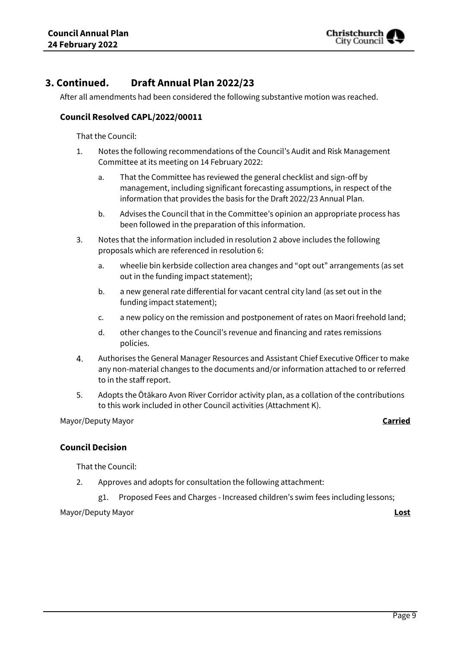

# **3. Continued. Draft Annual Plan 2022/23**

After all amendments had been considered the following substantive motion was reached.

### **Council Resolved CAPL/2022/00011**

That the Council:

- 1. Notes the following recommendations of the Council's Audit and Risk Management Committee at its meeting on 14 February 2022:
	- a. That the Committee has reviewed the general checklist and sign-off by management, including significant forecasting assumptions, in respect of the information that provides the basis for the Draft 2022/23 Annual Plan.
	- b. Advises the Council that in the Committee's opinion an appropriate process has been followed in the preparation of this information.
- 3. Notes that the information included in resolution 2 above includes the following proposals which are referenced in resolution 6:
	- a. wheelie bin kerbside collection area changes and "opt out" arrangements (as set out in the funding impact statement);
	- b. a new general rate differential for vacant central city land (as set out in the funding impact statement);
	- c. a new policy on the remission and postponement of rates on Maori freehold land;
	- d. other changes to the Council's revenue and financing and rates remissions policies.
- Authorises the General Manager Resources and Assistant Chief Executive Officer to make 4. any non-material changes to the documents and/or information attached to or referred to in the staff report.
- 5. Adopts the Ōtākaro Avon River Corridor activity plan, as a collation of the contributions to this work included in other Council activities (Attachment K).

Mayor/Deputy Mayor **Carried**

### **Council Decision**

That the Council:

- 2. Approves and adopts for consultation the following attachment:
	- g1. Proposed Fees and Charges Increased children's swim fees including lessons;

Mayor/Deputy Mayor **Lost**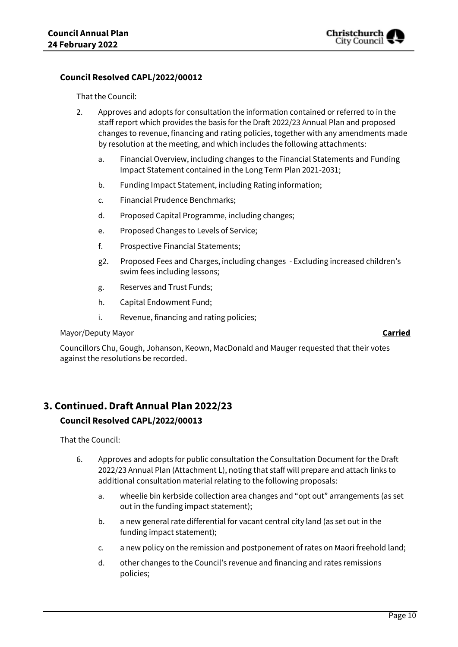

### **Council Resolved CAPL/2022/00012**

That the Council:

- 2. Approves and adopts for consultation the information contained or referred to in the staff report which provides the basis for the Draft 2022/23 Annual Plan and proposed changes to revenue, financing and rating policies, together with any amendments made by resolution at the meeting, and which includes the following attachments:
	- a. Financial Overview, including changes to the Financial Statements and Funding Impact Statement contained in the Long Term Plan 2021-2031;
	- b. Funding Impact Statement, including Rating information;
	- c. Financial Prudence Benchmarks;
	- d. Proposed Capital Programme, including changes;
	- e. Proposed Changes to Levels of Service;
	- f. Prospective Financial Statements;
	- g2. Proposed Fees and Charges, including changes Excluding increased children's swim fees including lessons;
	- g. Reserves and Trust Funds;
	- h. Capital Endowment Fund;
	- i. Revenue, financing and rating policies;

### Mayor/Deputy Mayor **Carried**

Councillors Chu, Gough, Johanson, Keown, MacDonald and Mauger requested that their votes against the resolutions be recorded.

# **3. Continued.Draft Annual Plan 2022/23**

### **Council Resolved CAPL/2022/00013**

- 6. Approves and adopts for public consultation the Consultation Document for the Draft 2022/23 Annual Plan (Attachment L), noting that staff will prepare and attach links to additional consultation material relating to the following proposals:
	- a. wheelie bin kerbside collection area changes and "opt out" arrangements (as set out in the funding impact statement);
	- b. a new general rate differential for vacant central city land (as set out in the funding impact statement);
	- c. a new policy on the remission and postponement of rates on Maori freehold land;
	- d. other changes to the Council's revenue and financing and rates remissions policies;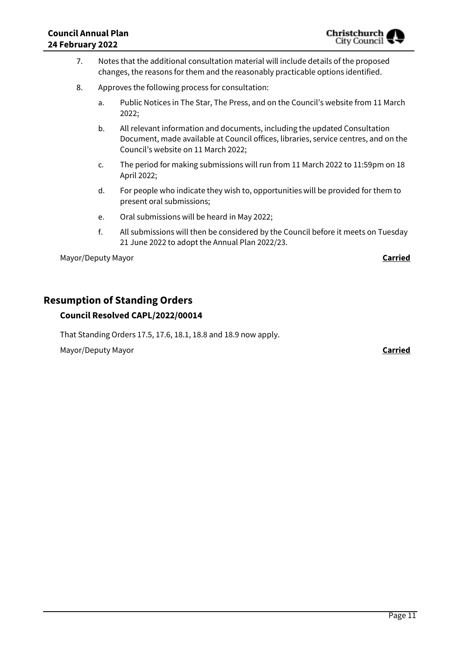- 7. Notes that the additional consultation material will include details of the proposed changes, the reasons for them and the reasonably practicable options identified.
- 8. Approves the following process for consultation:
	- a. Public Notices in The Star, The Press, and on the Council's website from 11 March 2022;
	- b. All relevant information and documents, including the updated Consultation Document, made available at Council offices, libraries, service centres, and on the Council's website on 11 March 2022;
	- c. The period for making submissions will run from 11 March 2022 to 11:59pm on 18 April 2022;
	- d. For people who indicate they wish to, opportunities will be provided for them to present oral submissions;
	- e. Oral submissions will be heard in May 2022;
	- f. All submissions will then be considered by the Council before it meets on Tuesday 21 June 2022 to adopt the Annual Plan 2022/23.

Mayor/Deputy Mayor **Carried**

# **Resumption of Standing Orders**

### **Council Resolved CAPL/2022/00014**

That Standing Orders 17.5, 17.6, 18.1, 18.8 and 18.9 now apply.

Mayor/Deputy Mayor **Carried**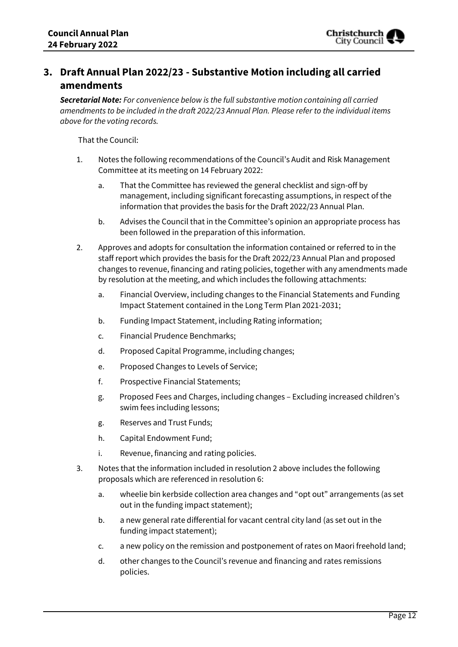# **3. Draft Annual Plan 2022/23 - Substantive Motion including all carried amendments**

*Secretarial Note: For convenience below is the full substantive motion containing all carried amendments to be included in the draft 2022/23 Annual Plan. Please refer to the individual items above for the voting records.* 

- 1. Notes the following recommendations of the Council's Audit and Risk Management Committee at its meeting on 14 February 2022:
	- a. That the Committee has reviewed the general checklist and sign-off by management, including significant forecasting assumptions, in respect of the information that provides the basis for the Draft 2022/23 Annual Plan.
	- b. Advises the Council that in the Committee's opinion an appropriate process has been followed in the preparation of this information.
- 2. Approves and adopts for consultation the information contained or referred to in the staff report which provides the basis for the Draft 2022/23 Annual Plan and proposed changes to revenue, financing and rating policies, together with any amendments made by resolution at the meeting, and which includes the following attachments:
	- a. Financial Overview, including changes to the Financial Statements and Funding Impact Statement contained in the Long Term Plan 2021-2031;
	- b. Funding Impact Statement, including Rating information;
	- c. Financial Prudence Benchmarks;
	- d. Proposed Capital Programme, including changes;
	- e. Proposed Changes to Levels of Service;
	- f. Prospective Financial Statements;
	- g. Proposed Fees and Charges, including changes Excluding increased children's swim fees including lessons;
	- g. Reserves and Trust Funds;
	- h. Capital Endowment Fund;
	- i. Revenue, financing and rating policies.
- 3. Notes that the information included in resolution 2 above includes the following proposals which are referenced in resolution 6:
	- a. wheelie bin kerbside collection area changes and "opt out" arrangements (as set out in the funding impact statement);
	- b. a new general rate differential for vacant central city land (as set out in the funding impact statement);
	- c. a new policy on the remission and postponement of rates on Maori freehold land;
	- d. other changes to the Council's revenue and financing and rates remissions policies.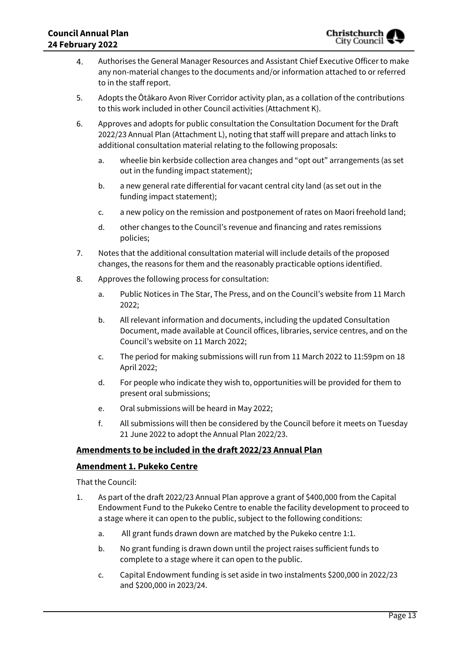- Authorises the General Manager Resources and Assistant Chief Executive Officer to make 4. any non-material changes to the documents and/or information attached to or referred to in the staff report.
- 5. Adopts the Ōtākaro Avon River Corridor activity plan, as a collation of the contributions to this work included in other Council activities (Attachment K).
- 6. Approves and adopts for public consultation the Consultation Document for the Draft 2022/23 Annual Plan (Attachment L), noting that staff will prepare and attach links to additional consultation material relating to the following proposals:
	- a. wheelie bin kerbside collection area changes and "opt out" arrangements (as set out in the funding impact statement);
	- b. a new general rate differential for vacant central city land (as set out in the funding impact statement);
	- c. a new policy on the remission and postponement of rates on Maori freehold land;
	- d. other changes to the Council's revenue and financing and rates remissions policies;
- 7. Notes that the additional consultation material will include details of the proposed changes, the reasons for them and the reasonably practicable options identified.
- 8. Approves the following process for consultation:
	- a. Public Notices in The Star, The Press, and on the Council's website from 11 March 2022;
	- b. All relevant information and documents, including the updated Consultation Document, made available at Council offices, libraries, service centres, and on the Council's website on 11 March 2022;
	- c. The period for making submissions will run from 11 March 2022 to 11:59pm on 18 April 2022;
	- d. For people who indicate they wish to, opportunities will be provided for them to present oral submissions;
	- e. Oral submissions will be heard in May 2022;
	- f. All submissions will then be considered by the Council before it meets on Tuesday 21 June 2022 to adopt the Annual Plan 2022/23.

### **Amendments to be included in the draft 2022/23 Annual Plan**

### **Amendment 1. Pukeko Centre**

- 1. As part of the draft 2022/23 Annual Plan approve a grant of \$400,000 from the Capital Endowment Fund to the Pukeko Centre to enable the facility development to proceed to a stage where it can open to the public, subject to the following conditions:
	- a. All grant funds drawn down are matched by the Pukeko centre 1:1.
	- b. No grant funding is drawn down until the project raises sufficient funds to complete to a stage where it can open to the public.
	- c. Capital Endowment funding is set aside in two instalments \$200,000 in 2022/23 and \$200,000 in 2023/24.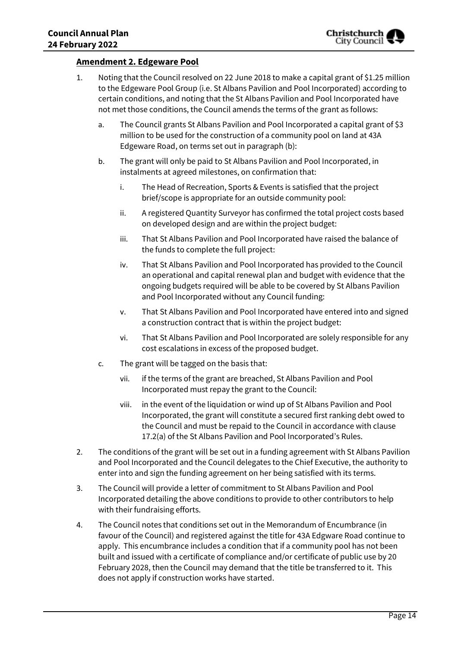### **Amendment 2. Edgeware Pool**

- 1. Noting that the Council resolved on 22 June 2018 to make a capital grant of \$1.25 million to the Edgeware Pool Group (i.e. St Albans Pavilion and Pool Incorporated) according to certain conditions, and noting that the St Albans Pavilion and Pool Incorporated have not met those conditions, the Council amends the terms of the grant as follows:
	- a. The Council grants St Albans Pavilion and Pool Incorporated a capital grant of \$3 million to be used for the construction of a community pool on land at 43A Edgeware Road, on terms set out in paragraph (b):
	- b. The grant will only be paid to St Albans Pavilion and Pool Incorporated, in instalments at agreed milestones, on confirmation that:
		- i. The Head of Recreation, Sports & Events is satisfied that the project brief/scope is appropriate for an outside community pool:
		- ii. A registered Quantity Surveyor has confirmed the total project costs based on developed design and are within the project budget:
		- iii. That St Albans Pavilion and Pool Incorporated have raised the balance of the funds to complete the full project:
		- iv. That St Albans Pavilion and Pool Incorporated has provided to the Council an operational and capital renewal plan and budget with evidence that the ongoing budgets required will be able to be covered by St Albans Pavilion and Pool Incorporated without any Council funding:
		- v. That St Albans Pavilion and Pool Incorporated have entered into and signed a construction contract that is within the project budget:
		- vi. That St Albans Pavilion and Pool Incorporated are solely responsible for any cost escalations in excess of the proposed budget.
	- c. The grant will be tagged on the basis that:
		- vii. if the terms of the grant are breached, St Albans Pavilion and Pool Incorporated must repay the grant to the Council:
		- viii. in the event of the liquidation or wind up of St Albans Pavilion and Pool Incorporated, the grant will constitute a secured first ranking debt owed to the Council and must be repaid to the Council in accordance with clause 17.2(a) of the St Albans Pavilion and Pool Incorporated's Rules.
- 2. The conditions of the grant will be set out in a funding agreement with St Albans Pavilion and Pool Incorporated and the Council delegates to the Chief Executive, the authority to enter into and sign the funding agreement on her being satisfied with its terms.
- 3. The Council will provide a letter of commitment to St Albans Pavilion and Pool Incorporated detailing the above conditions to provide to other contributors to help with their fundraising efforts.
- 4. The Council notes that conditions set out in the Memorandum of Encumbrance (in favour of the Council) and registered against the title for 43A Edgware Road continue to apply. This encumbrance includes a condition that if a community pool has not been built and issued with a certificate of compliance and/or certificate of public use by 20 February 2028, then the Council may demand that the title be transferred to it. This does not apply if construction works have started.